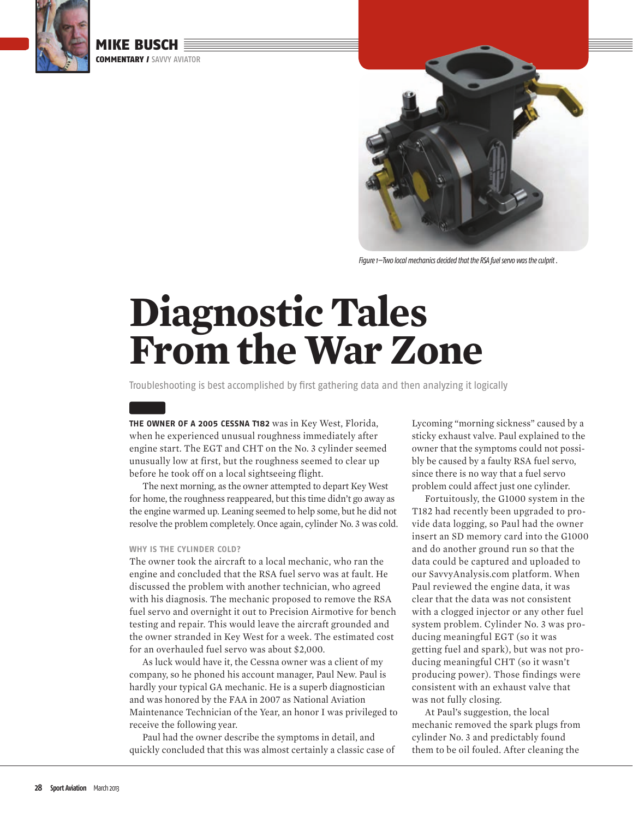

 MIKE BUSCH COMMENTARY / SAVVY AVIATOR



Figure 1—Two local mechanics decided that the RSA fuel servo was the culprit .

# **Diagnostic Tales From the War Zone**

Troubleshooting is best accomplished by first gathering data and then analyzing it logically

**THE OWNER OF A 2005 CESSNA T182** was in Key West, Florida, when he experienced unusual roughness immediately after engine start. The EGT and CHT on the No. 3 cylinder seemed unusually low at first, but the roughness seemed to clear up before he took off on a local sightseeing flight.

 The next morning, as the owner attempted to depart Key West for home, the roughness reappeared, but this time didn't go away as the engine warmed up. Leaning seemed to help some, but he did not resolve the problem completely. Once again, cylinder No. 3 was cold.

#### **WHY IS THE CYLINDER COLD?**

The owner took the aircraft to a local mechanic, who ran the engine and concluded that the RSA fuel servo was at fault. He discussed the problem with another technician, who agreed with his diagnosis. The mechanic proposed to remove the RSA fuel servo and overnight it out to Precision Airmotive for bench testing and repair. This would leave the aircraft grounded and the owner stranded in Key West for a week. The estimated cost for an overhauled fuel servo was about \$2,000.

 As luck would have it, the Cessna owner was a client of my company, so he phoned his account manager, Paul New. Paul is hardly your typical GA mechanic. He is a superb diagnostician and was honored by the FAA in 2007 as National Aviation Maintenance Technician of the Year, an honor I was privileged to receive the following year.

 Paul had the owner describe the symptoms in detail, and quickly concluded that this was almost certainly a classic case of Lycoming "morning sickness" caused by a sticky exhaust valve. Paul explained to the owner that the symptoms could not possibly be caused by a faulty RSA fuel servo, since there is no way that a fuel servo problem could affect just one cylinder.

 Fortuitously, the G1000 system in the T182 had recently been upgraded to provide data logging, so Paul had the owner insert an SD memory card into the G1000 and do another ground run so that the data could be captured and uploaded to our SavvyAnalysis.com platform. When Paul reviewed the engine data, it was clear that the data was not consistent with a clogged injector or any other fuel system problem. Cylinder No. 3 was producing meaningful EGT (so it was getting fuel and spark), but was not producing meaningful CHT (so it wasn't producing power). Those findings were consistent with an exhaust valve that was not fully closing.

 At Paul's suggestion, the local mechanic removed the spark plugs from cylinder No. 3 and predictably found them to be oil fouled. After cleaning the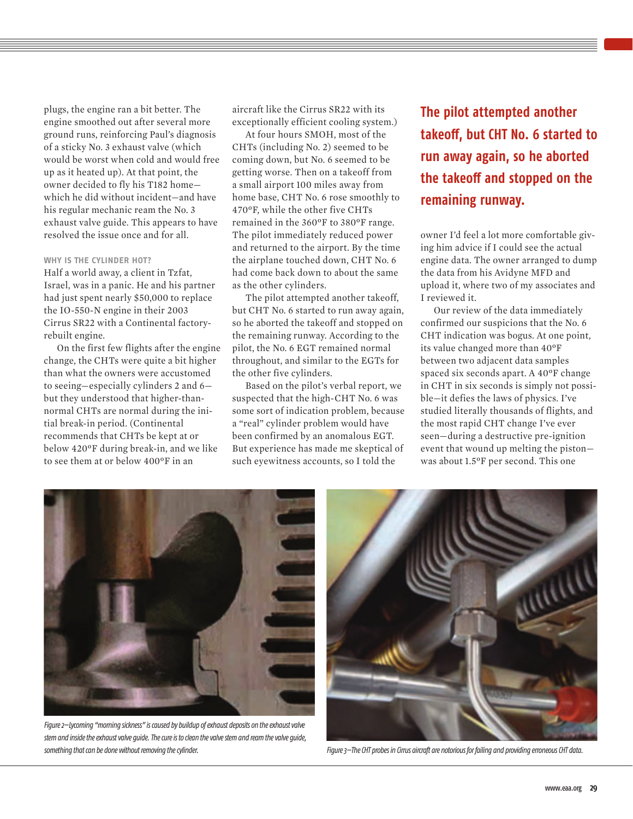plugs, the engine ran a bit better. The engine smoothed out after several more ground runs, reinforcing Paul's diagnosis of a sticky No. 3 exhaust valve (which would be worst when cold and would free up as it heated up). At that point, the owner decided to fly his T182 home which he did without incident—and have his regular mechanic ream the No. 3 exhaust valve guide. This appears to have resolved the issue once and for all.

#### **WHY IS THE CYLINDER HOT?**

Half a world away, a client in Tzfat, Israel, was in a panic. He and his partner had just spent nearly \$50,000 to replace the IO-550-N engine in their 2003 Cirrus SR22 with a Continental factoryrebuilt engine.

 On the first few flights after the engine change, the CHTs were quite a bit higher than what the owners were accustomed to seeing—especially cylinders 2 and 6 but they understood that higher-thannormal CHTs are normal during the initial break-in period. (Continental recommends that CHTs be kept at or below 420ºF during break-in, and we like to see them at or below 400ºF in an

aircraft like the Cirrus SR22 with its exceptionally efficient cooling system.)

 At four hours SMOH, most of the CHTs (including No. 2) seemed to be coming down, but No. 6 seemed to be getting worse. Then on a takeoff from a small airport 100 miles away from home base, CHT No. 6 rose smoothly to 470ºF, while the other five CHTs remained in the 360ºF to 380ºF range. The pilot immediately reduced power and returned to the airport. By the time the airplane touched down, CHT No. 6 had come back down to about the same as the other cylinders.

 The pilot attempted another takeoff, but CHT No. 6 started to run away again, so he aborted the takeoff and stopped on the remaining runway. According to the pilot, the No. 6 EGT remained normal throughout, and similar to the EGTs for the other five cylinders.

 Based on the pilot's verbal report, we suspected that the high-CHT No. 6 was some sort of indication problem, because a "real" cylinder problem would have been confirmed by an anomalous EGT. But experience has made me skeptical of such eyewitness accounts, so I told the

**The pilot attempted another**  takeoff, but CHT No. 6 started to **run away again, so he aborted the takeoff and stopped on the remaining runway.**

owner I'd feel a lot more comfortable giving him advice if I could see the actual engine data. The owner arranged to dump the data from his Avidyne MFD and upload it, where two of my associates and I reviewed it.

 Our review of the data immediately confirmed our suspicions that the No. 6 CHT indication was bogus. At one point, its value changed more than 40ºF between two adjacent data samples spaced six seconds apart. A 40ºF change in CHT in six seconds is simply not possible—it defies the laws of physics. I've studied literally thousands of flights, and the most rapid CHT change I've ever seen—during a destructive pre-ignition event that wound up melting the piston was about 1.5ºF per second. This one



Figure 2—Lycoming "morning sickness" is caused by buildup of exhaust deposits on the exhaust valve stem and inside the exhaust valve guide. The cure is to clean the valve stem and ream the valve guide, something that can be done without removing the cylinder. That is expected that can be diffused as the cylinder.

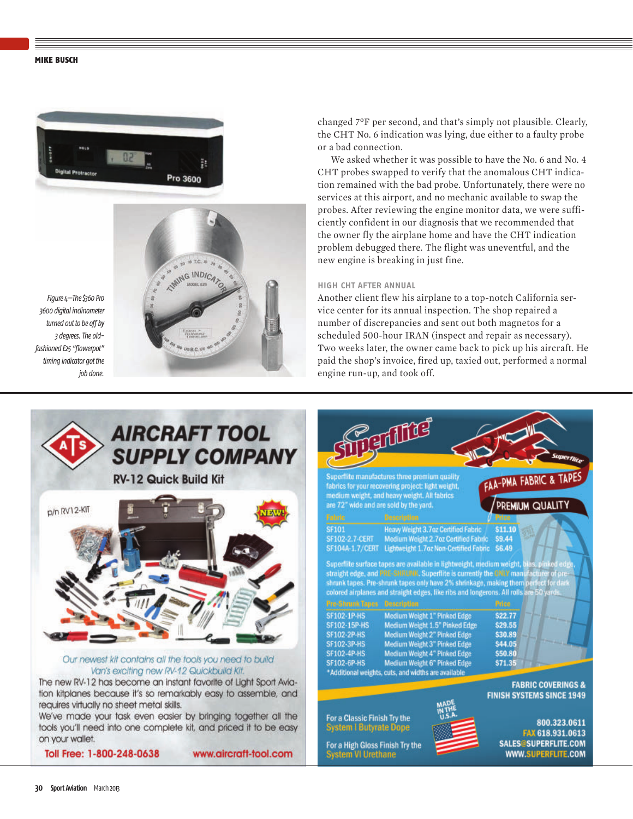#### **MIKE BUSCH**



Figure 4—The \$360 Pro 3600 digital inclinometer turned out to be off by 3 degrees. The oldfashioned E25 "flowerpot" timing indicator got the job done.

changed 7ºF per second, and that's simply not plausible. Clearly, the CHT No. 6 indication was lying, due either to a faulty probe or a bad connection.

 We asked whether it was possible to have the No. 6 and No. 4 CHT probes swapped to verify that the anomalous CHT indication remained with the bad probe. Unfortunately, there were no services at this airport, and no mechanic available to swap the probes. After reviewing the engine monitor data, we were sufficiently confident in our diagnosis that we recommended that the owner fly the airplane home and have the CHT indication problem debugged there. The flight was uneventful, and the new engine is breaking in just fine.

#### **HIGH CHT AFTER ANNUAL**

Another client flew his airplane to a top-notch California service center for its annual inspection. The shop repaired a number of discrepancies and sent out both magnetos for a scheduled 500-hour IRAN (inspect and repair as necessary). Two weeks later, the owner came back to pick up his aircraft. He paid the shop's invoice, fired up, taxied out, performed a normal engine run-up, and took off.



 $p$  TC  $p$ AMNG INDICA

We've made your task even easier by bringing together all the tools you'll need into one complete kit, and priced it to be easy on your wallet.

Toll Free: 1-800-248-0638

www.aircraft-tool.com

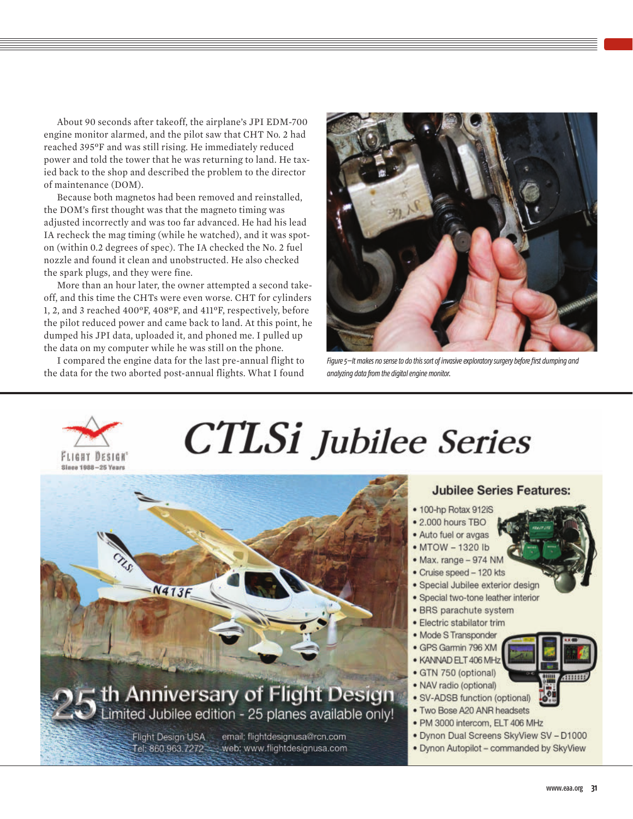About 90 seconds after takeoff, the airplane's JPI EDM-700 engine monitor alarmed, and the pilot saw that CHT No. 2 had reached 395ºF and was still rising. He immediately reduced power and told the tower that he was returning to land. He taxied back to the shop and described the problem to the director of maintenance (DOM).

 Because both magnetos had been removed and reinstalled, the DOM's first thought was that the magneto timing was adjusted incorrectly and was too far advanced. He had his lead IA recheck the mag timing (while he watched), and it was spoton (within 0.2 degrees of spec). The IA checked the No. 2 fuel nozzle and found it clean and unobstructed. He also checked the spark plugs, and they were fine.

 More than an hour later, the owner attempted a second takeoff, and this time the CHTs were even worse. CHT for cylinders 1, 2, and 3 reached 400ºF, 408ºF, and 411ºF, respectively, before the pilot reduced power and came back to land. At this point, he dumped his JPI data, uploaded it, and phoned me. I pulled up the data on my computer while he was still on the phone.

 I compared the engine data for the last pre-annual flight to the data for the two aborted post-annual flights. What I found



Figure 5–It makes no sense to do this sort of invasive exploratory surgery before first dumping and analyzing data from the digital engine monitor.